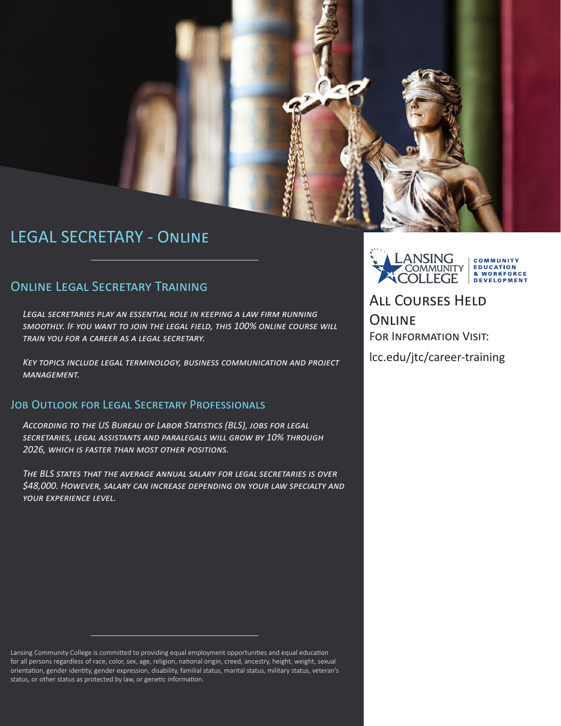

# LEGAL SECRETARY - Online

### Online Legal Secretary Training

*Legal secretaries play an essential role in keeping a law firm running smoothly. If you want to join the legal field, this 100% online course will train you for a career as a legal secretary.* 

*Key topics include legal terminology, business communication and project management.*

#### JOB OUTLOOK FOR LEGAL SECRETARY PROFESSIONALS

*According to the US Bureau of Labor Statistics (BLS), jobs for legal secretaries, legal assistants and paralegals will grow by 10% through 2026, which is faster than most other positions.*

*The BLS states that the average annual salary for legal secretaries is over \$48,000. However, salary can increase depending on your law specialty and your experience level.*

Lansing Community College is committed to providing equal employment opportunities and equal education for all persons regardless of race, color, sex, age, religion, national origin, creed, ancestry, height, weight, sexual orientation, gender identity, gender expression, disability, familial status, marital status, military status, veteran's status, or other status as protected by law, or genetic information.

LANSING COMMUNITY **EDUCATION COMMUNITY** & WORKFORCE **OLLEGE DEVELOPMENT** 

All Courses Held **ONLINE** FOR INFORMATION VISIT:

lcc.edu/jtc/career-training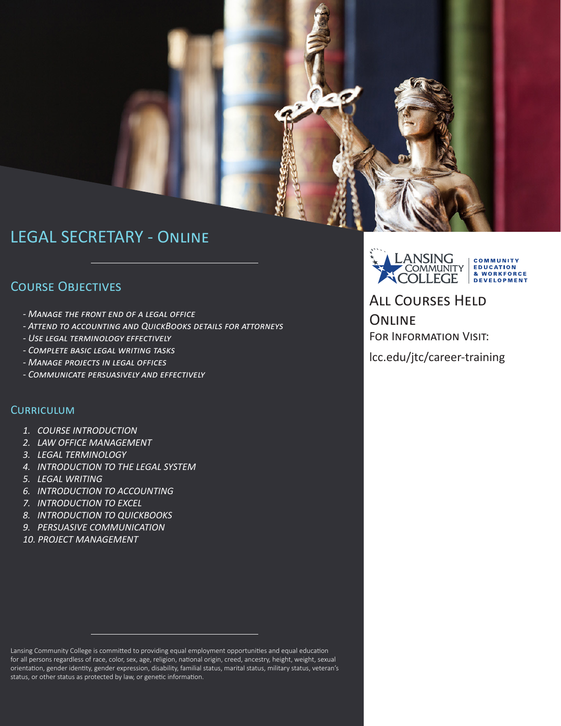

## LEGAL SECRETARY - Online

### Course Objectives

- *Manage the front end of a legal office*
- *Attend to accounting and QuickBooks details for attorneys*
- *Use legal terminology effectively*
- *Complete basic legal writing tasks*
- *Manage projects in legal offices*
- *Communicate persuasively and effectively*

#### **CURRICULUM**

- *1. COURSE INTRODUCTION*
- *2. LAW OFFICE MANAGEMENT*
- *3. LEGAL TERMINOLOGY*
- *4. INTRODUCTION TO THE LEGAL SYSTEM*
- *5. LEGAL WRITING*
- *6. INTRODUCTION TO ACCOUNTING*
- *7. INTRODUCTION TO EXCEL*
- *8. INTRODUCTION TO QUICKBOOKS*
- *9. PERSUASIVE COMMUNICATION*
- *10. PROJECT MANAGEMENT*



All Courses Held **ONLINE** For Information Visit:

lcc.edu/jtc/career-training

Lansing Community College is committed to providing equal employment opportunities and equal education for all persons regardless of race, color, sex, age, religion, national origin, creed, ancestry, height, weight, sexual orientation, gender identity, gender expression, disability, familial status, marital status, military status, veteran's status, or other status as protected by law, or genetic information.